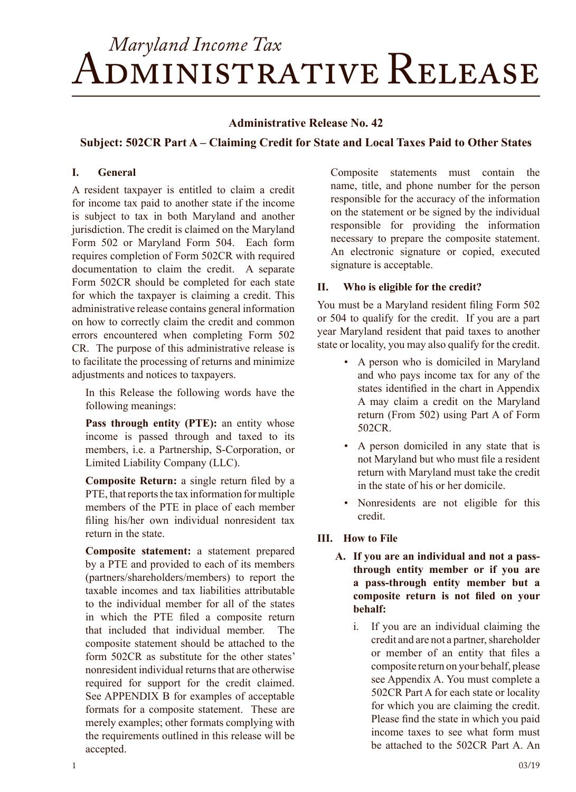# *Maryland Income Tax* Administrative Release

#### **Administrative Release No. 42**

# **Subject: 502CR Part A – Claiming Credit for State and Local Taxes Paid to Other States**

#### **I. General**

A resident taxpayer is entitled to claim a credit for income tax paid to another state if the income is subject to tax in both Maryland and another jurisdiction. The credit is claimed on the Maryland Form 502 or Maryland Form 504. Each form requires completion of Form 502CR with required documentation to claim the credit. A separate Form 502CR should be completed for each state for which the taxpayer is claiming a credit. This administrative release contains general information on how to correctly claim the credit and common errors encountered when completing Form 502 CR. The purpose of this administrative release is to facilitate the processing of returns and minimize adjustments and notices to taxpayers.

In this Release the following words have the following meanings:

Pass through entity (PTE): an entity whose income is passed through and taxed to its members, i.e. a Partnership, S-Corporation, or Limited Liability Company (LLC).

**Composite Return:** a single return filed by a PTE, that reports the tax information for multiple members of the PTE in place of each member filing his/her own individual nonresident tax return in the state.

**Composite statement:** a statement prepared by a PTE and provided to each of its members (partners/shareholders/members) to report the taxable incomes and tax liabilities attributable to the individual member for all of the states in which the PTE filed a composite return that included that individual member. The composite statement should be attached to the form 502CR as substitute for the other states' nonresident individual returns that are otherwise required for support for the credit claimed. See APPENDIX B for examples of acceptable formats for a composite statement. These are merely examples; other formats complying with the requirements outlined in this release will be accepted.

Composite statements must contain the name, title, and phone number for the person responsible for the accuracy of the information on the statement or be signed by the individual responsible for providing the information necessary to prepare the composite statement. An electronic signature or copied, executed signature is acceptable.

#### **II. Who is eligible for the credit?**

You must be a Maryland resident filing Form 502 or 504 to qualify for the credit. If you are a part year Maryland resident that paid taxes to another state or locality, you may also qualify for the credit.

- A person who is domiciled in Maryland and who pays income tax for any of the states identified in the chart in Appendix A may claim a credit on the Maryland return (From 502) using Part A of Form 502CR.
- A person domiciled in any state that is not Maryland but who must file a resident return with Maryland must take the credit in the state of his or her domicile.
- Nonresidents are not eligible for this credit.

# **III. How to File**

- **A. If you are an individual and not a passthrough entity member or if you are a pass-through entity member but a composite return is not filed on your behalf:**
	- i. If you are an individual claiming the credit and are not a partner, shareholder or member of an entity that files a composite return on your behalf, please see Appendix A. You must complete a 502CR Part A for each state or locality for which you are claiming the credit. Please find the state in which you paid income taxes to see what form must be attached to the 502CR Part A. An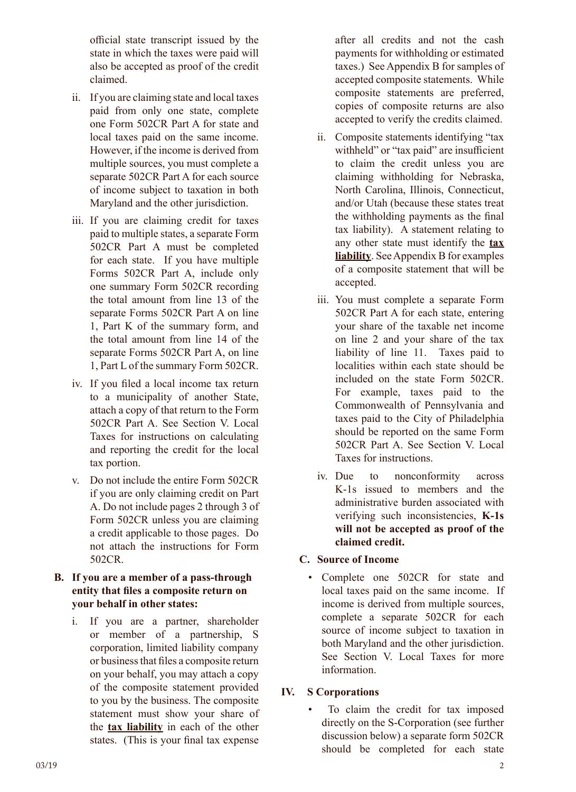official state transcript issued by the state in which the taxes were paid will also be accepted as proof of the credit claimed.

- ii. If you are claiming state and local taxes paid from only one state, complete one Form 502CR Part A for state and local taxes paid on the same income. However, if the income is derived from multiple sources, you must complete a separate 502CR Part A for each source of income subject to taxation in both Maryland and the other jurisdiction.
- iii. If you are claiming credit for taxes paid to multiple states, a separate Form 502CR Part A must be completed for each state. If you have multiple Forms 502CR Part A, include only one summary Form 502CR recording the total amount from line 13 of the separate Forms 502CR Part A on line 1, Part K of the summary form, and the total amount from line 14 of the separate Forms 502CR Part A, on line 1, Part L of the summary Form 502CR.
- iv. If you filed a local income tax return to a municipality of another State, attach a copy of that return to the Form 502CR Part A. See Section V. Local Taxes for instructions on calculating and reporting the credit for the local tax portion.
- v. Do not include the entire Form 502CR if you are only claiming credit on Part A. Do not include pages 2 through 3 of Form 502CR unless you are claiming a credit applicable to those pages. Do not attach the instructions for Form 502CR.

# **B. If you are a member of a pass-through entity that files a composite return on your behalf in other states:**

i. If you are a partner, shareholder or member of a partnership, S corporation, limited liability company or business that files a composite return on your behalf, you may attach a copy of the composite statement provided to you by the business. The composite statement must show your share of the **tax liability** in each of the other states. (This is your final tax expense

after all credits and not the cash payments for withholding or estimated taxes.) See Appendix B for samples of accepted composite statements. While composite statements are preferred, copies of composite returns are also accepted to verify the credits claimed.

- ii. Composite statements identifying "tax withheld" or "tax paid" are insufficient to claim the credit unless you are claiming withholding for Nebraska, North Carolina, Illinois, Connecticut, and/or Utah (because these states treat the withholding payments as the final tax liability). A statement relating to any other state must identify the **tax liability**. See Appendix B for examples of a composite statement that will be accepted.
- iii. You must complete a separate Form 502CR Part A for each state, entering your share of the taxable net income on line 2 and your share of the tax liability of line 11. Taxes paid to localities within each state should be included on the state Form 502CR. For example, taxes paid to the Commonwealth of Pennsylvania and taxes paid to the City of Philadelphia should be reported on the same Form 502CR Part A. See Section V. Local Taxes for instructions.
- iv. Due to nonconformity across K-1s issued to members and the administrative burden associated with verifying such inconsistencies, **K-1s will not be accepted as proof of the claimed credit.**

# **C. Source of Income**

• Complete one 502CR for state and local taxes paid on the same income. If income is derived from multiple sources, complete a separate 502CR for each source of income subject to taxation in both Maryland and the other jurisdiction. See Section V. Local Taxes for more information.

# **IV. S Corporations**

To claim the credit for tax imposed directly on the S-Corporation (see further discussion below) a separate form 502CR should be completed for each state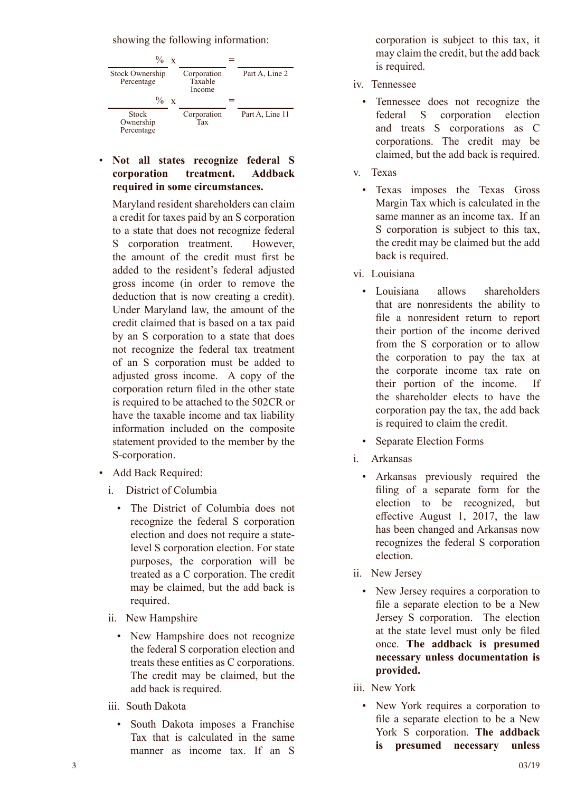showing the following information:

| $\%$ x                               |                                  |                 |
|--------------------------------------|----------------------------------|-----------------|
| <b>Stock Ownership</b><br>Percentage | Corporation<br>Taxable<br>Income | Part A, Line 2  |
| $\%$ x                               |                                  |                 |
| Stock<br>Ownership<br>Percentage     | Corporation<br>Tax               | Part A, Line 11 |

• **Not all states recognize federal S corporation treatment. Addback required in some circumstances.** 

Maryland resident shareholders can claim a credit for taxes paid by an S corporation to a state that does not recognize federal S corporation treatment. However, the amount of the credit must first be added to the resident's federal adjusted gross income (in order to remove the deduction that is now creating a credit). Under Maryland law, the amount of the credit claimed that is based on a tax paid by an S corporation to a state that does not recognize the federal tax treatment of an S corporation must be added to adjusted gross income. A copy of the corporation return filed in the other state is required to be attached to the 502CR or have the taxable income and tax liability information included on the composite statement provided to the member by the S-corporation.

- Add Back Required:
	- i. District of Columbia
		- The District of Columbia does not recognize the federal S corporation election and does not require a statelevel S corporation election. For state purposes, the corporation will be treated as a C corporation. The credit may be claimed, but the add back is required.
	- ii. New Hampshire
		- New Hampshire does not recognize the federal S corporation election and treats these entities as C corporations. The credit may be claimed, but the add back is required.
	- iii. South Dakota
		- South Dakota imposes a Franchise Tax that is calculated in the same manner as income tax. If an S

corporation is subject to this tax, it may claim the credit, but the add back is required.

- iv. Tennessee
	- Tennessee does not recognize the federal S corporation election and treats S corporations as C corporations. The credit may be claimed, but the add back is required.
- 
- v. Texas<br>• Texas imposes the Texas Gross Margin Tax which is calculated in the same manner as an income tax. If an S corporation is subject to this tax, the credit may be claimed but the add back is required.
- 
- vi. Louisiana<br>• Louisiana allows shareholders that are nonresidents the ability to file a nonresident return to report their portion of the income derived from the S corporation or to allow the corporation to pay the tax at the corporate income tax rate on their portion of the income. If the shareholder elects to have the corporation pay the tax, the add back is required to claim the credit.
	- Separate Election Forms
- 
- i. Arkansas<br>• Arkansas previously required the filing of a separate form for the election to be recognized, but effective August 1, 2017, the law has been changed and Arkansas now recognizes the federal S corporation election.
- ii. New Jersey
	- New Jersey requires a corporation to file a separate election to be a New Jersey S corporation. The election at the state level must only be filed once. **The addback is presumed necessary unless documentation is provided.**
- 
- iii. New York<br>• New York requires a corporation to file a separate election to be a New York S corporation. **The addback is presumed necessary unless**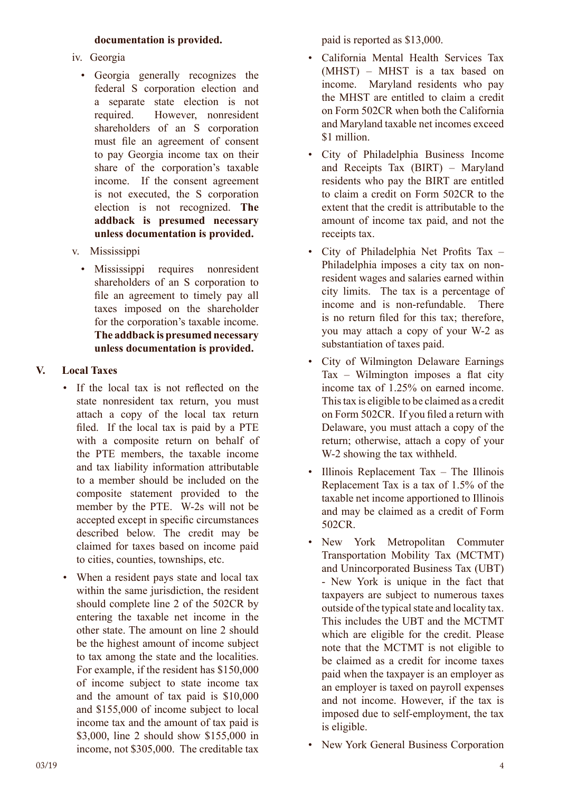#### **documentation is provided.**

- iv. Georgia
	- Georgia generally recognizes the federal S corporation election and a separate state election is not required. However, nonresident shareholders of an S corporation must file an agreement of consent to pay Georgia income tax on their share of the corporation's taxable income. If the consent agreement is not executed, the S corporation election is not recognized. **The addback is presumed necessary unless documentation is provided.**
- v. Mississippi
	- Mississippi requires nonresident shareholders of an S corporation to file an agreement to timely pay all taxes imposed on the shareholder for the corporation's taxable income. **The addback is presumed necessary unless documentation is provided.**

# **V. Local Taxes**

- If the local tax is not reflected on the state nonresident tax return, you must attach a copy of the local tax return filed. If the local tax is paid by a PTE with a composite return on behalf of the PTE members, the taxable income and tax liability information attributable to a member should be included on the composite statement provided to the member by the PTE. W-2s will not be accepted except in specific circumstances described below. The credit may be claimed for taxes based on income paid to cities, counties, townships, etc.
- When a resident pays state and local tax within the same jurisdiction, the resident should complete line 2 of the 502CR by entering the taxable net income in the other state. The amount on line 2 should be the highest amount of income subject to tax among the state and the localities. For example, if the resident has \$150,000 of income subject to state income tax and the amount of tax paid is \$10,000 and \$155,000 of income subject to local income tax and the amount of tax paid is \$3,000, line 2 should show \$155,000 in income, not \$305,000. The creditable tax

paid is reported as \$13,000.

- California Mental Health Services Tax (MHST) – MHST is a tax based on income. Maryland residents who pay the MHST are entitled to claim a credit on Form 502CR when both the California and Maryland taxable net incomes exceed \$1 million.
- City of Philadelphia Business Income and Receipts Tax (BIRT) – Maryland residents who pay the BIRT are entitled to claim a credit on Form 502CR to the extent that the credit is attributable to the amount of income tax paid, and not the receipts tax.
- City of Philadelphia Net Profits Tax Philadelphia imposes a city tax on nonresident wages and salaries earned within city limits. The tax is a percentage of income and is non-refundable. There is no return filed for this tax; therefore, you may attach a copy of your W-2 as substantiation of taxes paid.
- City of Wilmington Delaware Earnings Tax – Wilmington imposes a flat city income tax of 1.25% on earned income. This tax is eligible to be claimed as a credit on Form 502CR. If you filed a return with Delaware, you must attach a copy of the return; otherwise, attach a copy of your W-2 showing the tax withheld.
- Illinois Replacement Tax The Illinois Replacement Tax is a tax of 1.5% of the taxable net income apportioned to Illinois and may be claimed as a credit of Form 502CR.
- New York Metropolitan Commuter Transportation Mobility Tax (MCTMT) and Unincorporated Business Tax (UBT) - New York is unique in the fact that taxpayers are subject to numerous taxes outside of the typical state and locality tax. This includes the UBT and the MCTMT which are eligible for the credit. Please note that the MCTMT is not eligible to be claimed as a credit for income taxes paid when the taxpayer is an employer as an employer is taxed on payroll expenses and not income. However, if the tax is imposed due to self-employment, the tax is eligible.
- New York General Business Corporation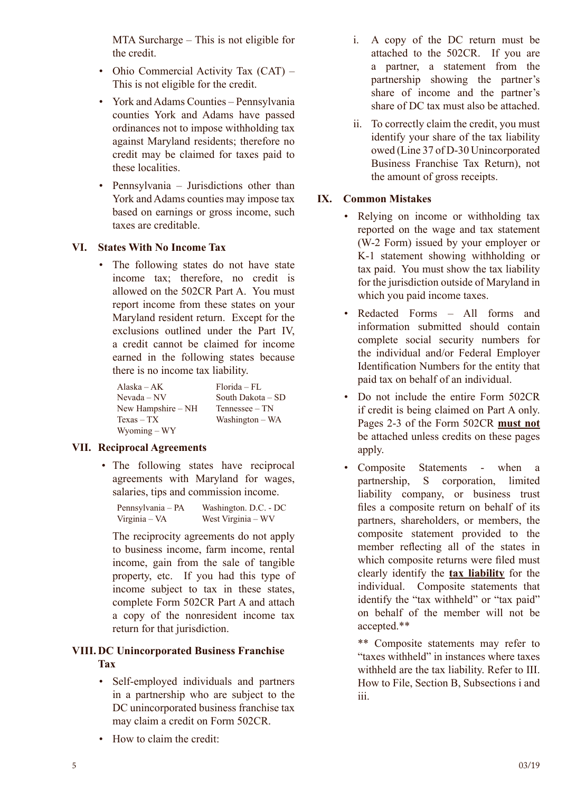MTA Surcharge – This is not eligible for the credit.

- Ohio Commercial Activity Tax (CAT) This is not eligible for the credit.
- York and Adams Counties Pennsylvania counties York and Adams have passed ordinances not to impose withholding tax against Maryland residents; therefore no credit may be claimed for taxes paid to these localities.
- Pennsylvania Jurisdictions other than York and Adams counties may impose tax based on earnings or gross income, such taxes are creditable.

# **VI. States With No Income Tax**

• The following states do not have state income tax; therefore, no credit is allowed on the 502CR Part A. You must report income from these states on your Maryland resident return. Except for the exclusions outlined under the Part IV, a credit cannot be claimed for income earned in the following states because there is no income tax liability.

| Alaska – $AK$      | $Florida = FI$ .    |
|--------------------|---------------------|
| $Nevada - NV$      | South Dakota – SD   |
| New Hampshire – NH | $T$ ennessee – $TN$ |
| $Texas - TX$       | Washington – WA     |
| $Wyoming - WY$     |                     |

# **VII. Reciprocal Agreements**

 • The following states have reciprocal agreements with Maryland for wages, salaries, tips and commission income.

Pennsylvania – PA Washington. D.C. - DC Virginia – VA West Virginia – WV

The reciprocity agreements do not apply to business income, farm income, rental income, gain from the sale of tangible property, etc. If you had this type of income subject to tax in these states, complete Form 502CR Part A and attach a copy of the nonresident income tax return for that jurisdiction.

# **VIII. DC Unincorporated Business Franchise Tax**

- Self-employed individuals and partners in a partnership who are subject to the DC unincorporated business franchise tax may claim a credit on Form 502CR.
- How to claim the credit:
- i. A copy of the DC return must be attached to the 502CR. If you are a partner, a statement from the partnership showing the partner's share of income and the partner's share of DC tax must also be attached.
- ii. To correctly claim the credit, you must identify your share of the tax liability owed (Line 37 of D-30 Unincorporated Business Franchise Tax Return), not the amount of gross receipts.

#### **IX. Common Mistakes**

- Relying on income or withholding tax reported on the wage and tax statement (W-2 Form) issued by your employer or K-1 statement showing withholding or tax paid. You must show the tax liability for the jurisdiction outside of Maryland in which you paid income taxes.
- Redacted Forms All forms and information submitted should contain complete social security numbers for the individual and/or Federal Employer Identification Numbers for the entity that paid tax on behalf of an individual.
- Do not include the entire Form 502CR if credit is being claimed on Part A only. Pages 2-3 of the Form 502CR **must not**  be attached unless credits on these pages apply.
- Composite Statements when a partnership, S corporation, limited liability company, or business trust files a composite return on behalf of its partners, shareholders, or members, the composite statement provided to the member reflecting all of the states in which composite returns were filed must clearly identify the **tax liability** for the individual. Composite statements that identify the "tax withheld" or "tax paid" on behalf of the member will not be accepted.\*\*

\*\* Composite statements may refer to "taxes withheld" in instances where taxes withheld are the tax liability. Refer to III. How to File, Section B, Subsections i and iii.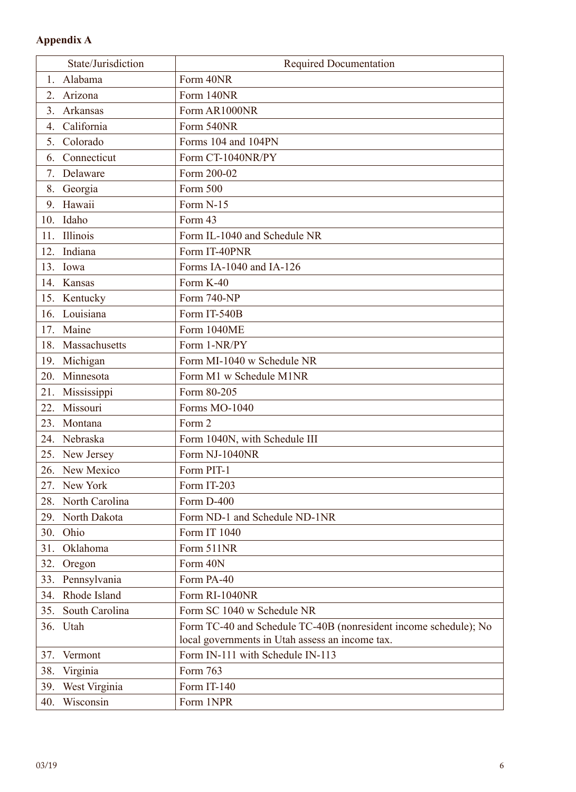# **Appendix A**

|     | State/Jurisdiction | <b>Required Documentation</b>                                    |
|-----|--------------------|------------------------------------------------------------------|
| 1.  | Alabama            | Form 40NR                                                        |
| 2.  | Arizona            | Form 140NR                                                       |
| 3.  | Arkansas           | Form AR1000NR                                                    |
| 4.  | California         | Form 540NR                                                       |
|     | 5. Colorado        | Forms 104 and 104PN                                              |
| 6.  | Connecticut        | Form CT-1040NR/PY                                                |
|     | 7. Delaware        | Form 200-02                                                      |
| 8.  | Georgia            | Form 500                                                         |
| 9.  | Hawaii             | Form N-15                                                        |
| 10. | Idaho              | Form 43                                                          |
| 11. | Illinois           | Form IL-1040 and Schedule NR                                     |
|     | 12. Indiana        | Form IT-40PNR                                                    |
|     | 13. Iowa           | Forms IA-1040 and IA-126                                         |
|     | 14. Kansas         | Form K-40                                                        |
|     | 15. Kentucky       | Form 740-NP                                                      |
|     | 16. Louisiana      | Form IT-540B                                                     |
|     | 17. Maine          | Form 1040ME                                                      |
| 18. | Massachusetts      | Form 1-NR/PY                                                     |
| 19. | Michigan           | Form MI-1040 w Schedule NR                                       |
| 20. | Minnesota          | Form M1 w Schedule M1NR                                          |
| 21. | Mississippi        | Form 80-205                                                      |
|     | 22. Missouri       | Forms MO-1040                                                    |
| 23. | Montana            | Form 2                                                           |
|     | 24. Nebraska       | Form 1040N, with Schedule III                                    |
|     | 25. New Jersey     | Form NJ-1040NR                                                   |
|     | 26. New Mexico     | Form PIT-1                                                       |
|     | 27. New York       | Form IT-203                                                      |
|     | 28. North Carolina | Form D-400                                                       |
|     | 29. North Dakota   | Form ND-1 and Schedule ND-1NR                                    |
|     | 30. Ohio           | Form IT 1040                                                     |
| 31. | Oklahoma           | Form 511NR                                                       |
| 32. | Oregon             | Form 40N                                                         |
| 33. | Pennsylvania       | Form PA-40                                                       |
| 34. | Rhode Island       | Form RI-1040NR                                                   |
| 35. | South Carolina     | Form SC 1040 w Schedule NR                                       |
|     | 36. Utah           | Form TC-40 and Schedule TC-40B (nonresident income schedule); No |
|     |                    | local governments in Utah assess an income tax.                  |
| 37. | Vermont            | Form IN-111 with Schedule IN-113                                 |
| 38. | Virginia           | Form 763                                                         |
| 39. | West Virginia      | Form IT-140                                                      |
| 40. | Wisconsin          | Form 1NPR                                                        |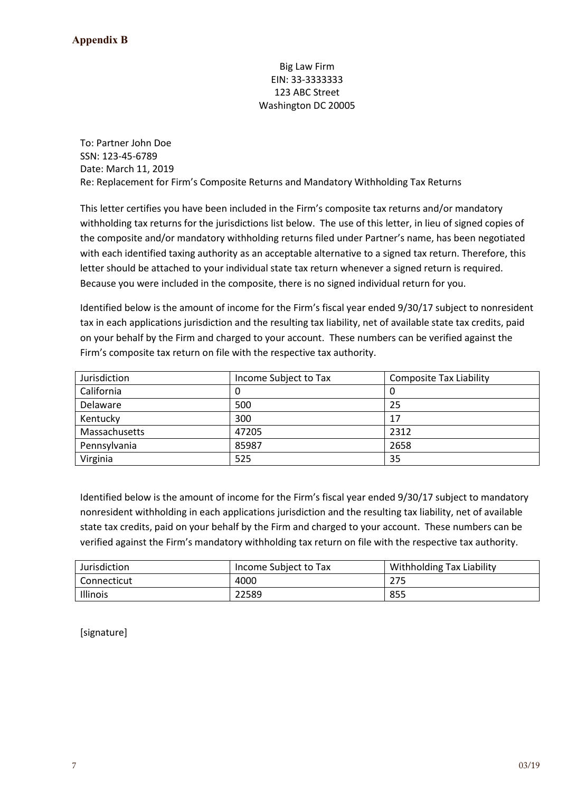#### Big Law Firm EIN: 33-3333333 123 ABC Street Washington DC 20005

To: Partner John Doe SSN: 123-45-6789 Date: March 11, 2019 Re: Replacement for Firm's Composite Returns and Mandatory Withholding Tax Returns

This letter certifies you have been included in the Firm's composite tax returns and/or mandatory withholding tax returns for the jurisdictions list below. The use of this letter, in lieu of signed copies of the composite and/or mandatory withholding returns filed under Partner's name, has been negotiated with each identified taxing authority as an acceptable alternative to a signed tax return. Therefore, this letter should be attached to your individual state tax return whenever a signed return is required. Because you were included in the composite, there is no signed individual return for you.

Identified below is the amount of income for the Firm's fiscal year ended 9/30/17 subject to nonresident tax in each applications jurisdiction and the resulting tax liability, net of available state tax credits, paid on your behalf by the Firm and charged to your account. These numbers can be verified against the Firm's composite tax return on file with the respective tax authority.

| Jurisdiction  | Income Subject to Tax | <b>Composite Tax Liability</b> |
|---------------|-----------------------|--------------------------------|
| California    | O                     | O                              |
| Delaware      | 500                   | 25                             |
| Kentucky      | 300                   | 17                             |
| Massachusetts | 47205                 | 2312                           |
| Pennsylvania  | 85987                 | 2658                           |
| Virginia      | 525                   | 35                             |

Identified below is the amount of income for the Firm's fiscal year ended 9/30/17 subject to mandatory nonresident withholding in each applications jurisdiction and the resulting tax liability, net of available state tax credits, paid on your behalf by the Firm and charged to your account. These numbers can be verified against the Firm's mandatory withholding tax return on file with the respective tax authority.

| Jurisdiction  | Income Subject to Tax | <b>Withholding Tax Liability</b> |
|---------------|-----------------------|----------------------------------|
| l Connecticut | 4000                  | 275                              |
| Illinois      | 22589                 | 855                              |

[signature]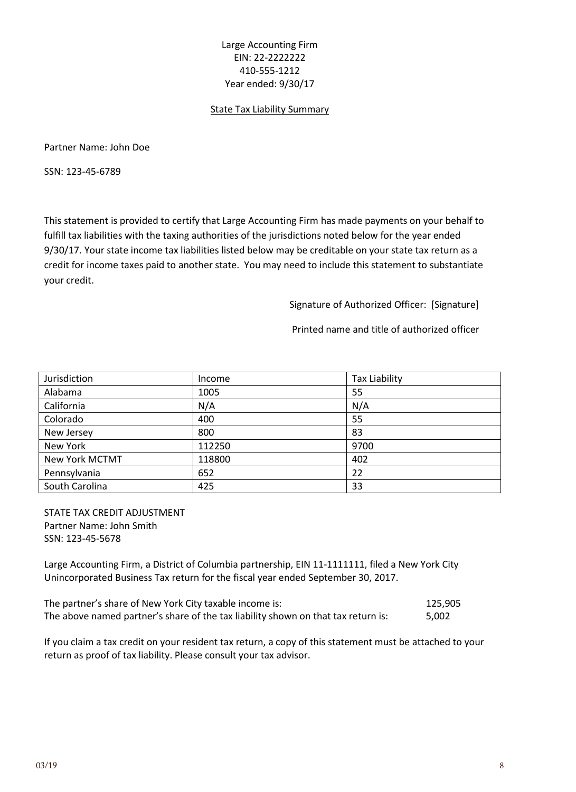#### Large Accounting Firm EIN: 22-2222222 410-555-1212 Year ended: 9/30/17

#### State Tax Liability Summary

Partner Name: John Doe

SSN: 123-45-6789

This statement is provided to certify that Large Accounting Firm has made payments on your behalf to fulfill tax liabilities with the taxing authorities of the jurisdictions noted below for the year ended 9/30/17. Your state income tax liabilities listed below may be creditable on your state tax return as a credit for income taxes paid to another state. You may need to include this statement to substantiate your credit.

Signature of Authorized Officer: [Signature]

Printed name and title of authorized officer

| Jurisdiction          | Income | <b>Tax Liability</b> |
|-----------------------|--------|----------------------|
| Alabama               | 1005   | 55                   |
| California            | N/A    | N/A                  |
| Colorado              | 400    | 55                   |
| New Jersey            | 800    | 83                   |
| New York              | 112250 | 9700                 |
| <b>New York MCTMT</b> | 118800 | 402                  |
| Pennsylvania          | 652    | 22                   |
| South Carolina        | 425    | 33                   |

STATE TAX CREDIT ADJUSTMENT Partner Name: John Smith SSN: 123-45-5678

Large Accounting Firm, a District of Columbia partnership, EIN 11-1111111, filed a New York City Unincorporated Business Tax return for the fiscal year ended September 30, 2017.

| The partner's share of New York City taxable income is:                           | 125.905 |
|-----------------------------------------------------------------------------------|---------|
| The above named partner's share of the tax liability shown on that tax return is: | 5.002   |

If you claim a tax credit on your resident tax return, a copy of this statement must be attached to your return as proof of tax liability. Please consult your tax advisor.